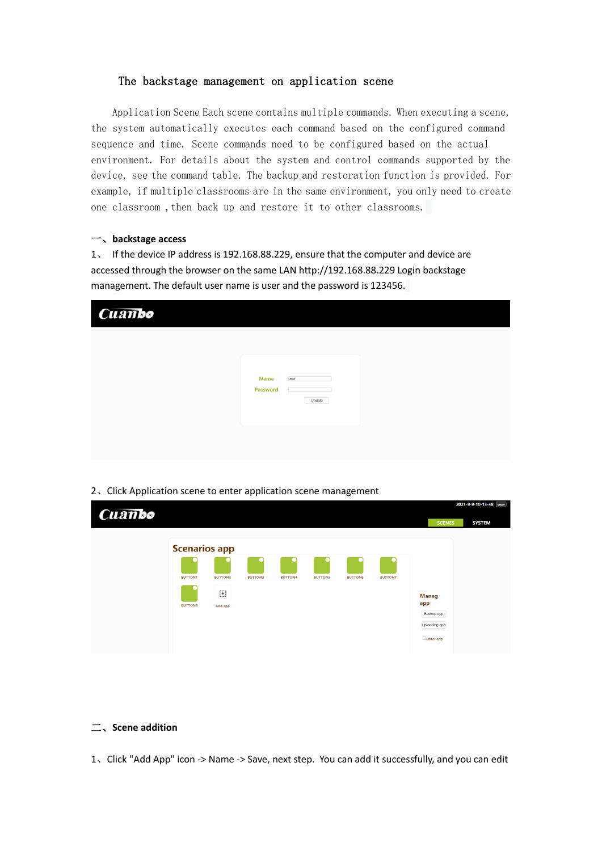# The backstage management on application scene

Application Scene Each scene contains multiple commands. When executing a scene, the system automatically executes each command based on the configured command sequence and time. Scene commands need to be configured based on the actual environment. For details about the system and control commands supported by the device, see the command table. The backup and restoration function is provided. For example, if multiple classrooms are in the same environment, you only need to create one classroom ,then back up and restore it to other classrooms.

## 一、**backstage access**

1、 If the device IP address is 192.168.88.229, ensure that the computer and device are accessed through the browser on the same LAN http://192.168.88.229 Login backstage management. The default user name is user and the password is 123456.

| Cuanto |                                                         |  |
|--------|---------------------------------------------------------|--|
|        |                                                         |  |
|        | <b>user</b><br><b>Name</b><br><b>Password</b><br>Update |  |
|        |                                                         |  |

#### 2、Click Application scene to enter application scene management

| Cuambo |                                                          |                                |                |                |                |                |                |                                                                                   | 2021-9-9-10-13-48   user |
|--------|----------------------------------------------------------|--------------------------------|----------------|----------------|----------------|----------------|----------------|-----------------------------------------------------------------------------------|--------------------------|
|        | <b>Scenarios app</b><br><b>BUTTON1</b><br><b>BUTTON8</b> | <b>BUTTON2</b><br>⊕<br>Add app | <b>BUTTON3</b> | <b>BUTTON4</b> | <b>BUTTON5</b> | <b>BUTTON6</b> | <b>BUTTON7</b> | <b>SCENES</b><br><b>Manag</b><br>app<br>Backup app<br>Uploading app<br>Editor app | <b>SYSTEM</b>            |

## 二、**Scene addition**

1、Click "Add App" icon -> Name -> Save, next step. You can add it successfully, and you can edit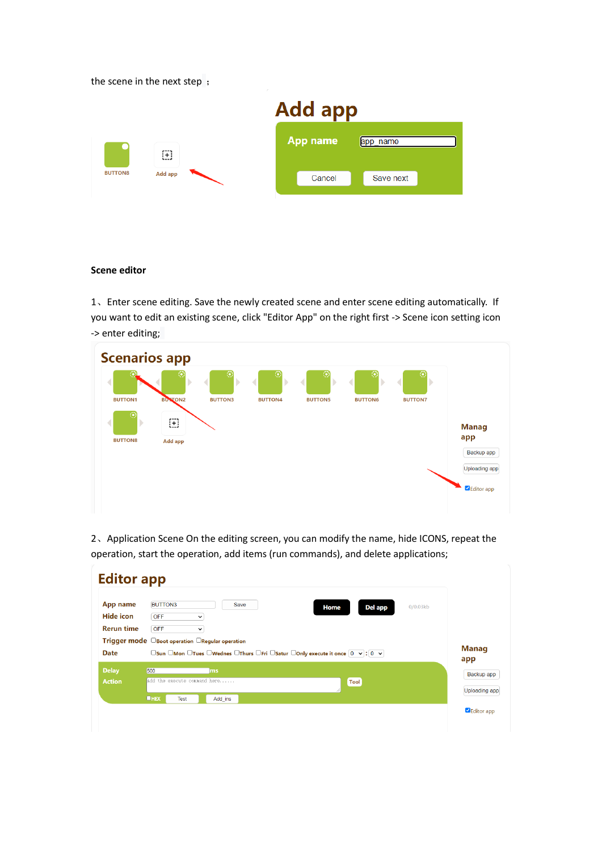the scene in the next step ;

|                |                | <b>Add app</b> |  |          |           |  |
|----------------|----------------|----------------|--|----------|-----------|--|
|                | ⊞              |                |  | App name | app name  |  |
| <b>BUTTONS</b> | <b>Add app</b> |                |  | Cancel   | Save next |  |

### **Scene editor**

1、Enter scene editing. Save the newly created scene and enter scene editing automatically. If you want to edit an existing scene, click "Editor App" on the right first -> Scene icon setting icon -> enter editing;



2、Application Scene On the editing screen, you can modify the name, hide ICONS, repeat the operation, start the operation, add items (run commands), and delete applications;

| App name                      | <b>BUTTON3</b>                                              |                                    | Save | Del app<br>Home                                                                    | 0/0.03kb |               |
|-------------------------------|-------------------------------------------------------------|------------------------------------|------|------------------------------------------------------------------------------------|----------|---------------|
| Hide icon                     | <b>OFF</b>                                                  | $\check{ }$                        |      |                                                                                    |          |               |
| <b>Rerun time</b>             | <b>OFF</b>                                                  | $\checkmark$                       |      |                                                                                    |          |               |
| <b>Date</b>                   | Trigger mode $\Box$ Boot operation $\Box$ Regular operation |                                    |      | □ Sun □ Mon □ Tues □ Wednes □ Thurs □ Fri □ Satur □ Only execute it once 0 v : 0 v |          | <b>Manag</b>  |
|                               |                                                             |                                    |      |                                                                                    |          | app           |
|                               | 500                                                         | ms<br>Add the execute command here |      |                                                                                    |          | Backup app    |
| <b>Delay</b><br><b>Action</b> |                                                             |                                    |      | Tool                                                                               |          | Uploading app |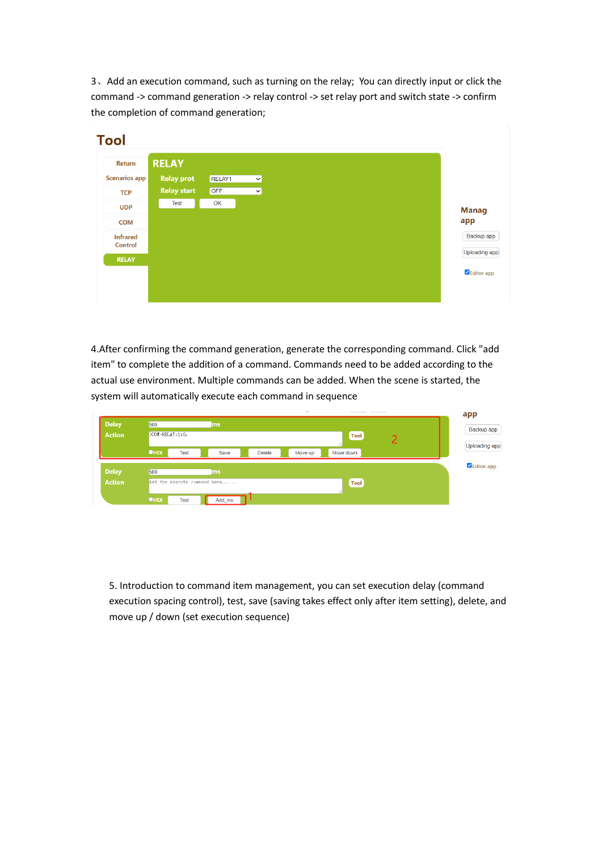3、Add an execution command, such as turning on the relay; You can directly input or click the command -> command generation -> relay control -> set relay port and switch state -> confirm the completion of command generation;

| <b>Return</b>        | <b>RELAY</b>       |        |             |
|----------------------|--------------------|--------|-------------|
| <b>Scenarios app</b> | <b>Relay prot</b>  | RELAY1 | $\check{ }$ |
| <b>TCP</b>           | <b>Relay start</b> | OFF    | $\vee$      |
| <b>UDP</b>           | <b>Test</b>        | OK     |             |
| <b>COM</b>           |                    |        |             |
| <b>Infrared</b>      |                    |        |             |
| <b>Control</b>       |                    |        |             |
| <b>RELAY</b>         |                    |        |             |
|                      |                    |        |             |

4.After confirming the command generation, generate the corresponding command. Click "add item" to complete the addition of a command. Commands need to be added according to the actual use environment. Multiple commands can be added. When the scene is started, the system will automatically execute each command in sequence

| <b>Delay</b><br><b>Action</b> | 500<br>$\sqrt{\text{COM-RELAY}}:1:0.$ | ms                           | <b>Tool</b>   |         |           | app<br>Backup app<br>Uploading app |  |            |
|-------------------------------|---------------------------------------|------------------------------|---------------|---------|-----------|------------------------------------|--|------------|
|                               | $I$ <b>HEX</b><br><b>Test</b>         | Save                         | <b>Delete</b> | Move up | Move down |                                    |  |            |
| <b>Delay</b>                  | 500                                   | <b>ms</b>                    |               |         |           |                                    |  | Editor app |
| <b>Action</b>                 |                                       | Add the execute connand here |               |         | Tool      |                                    |  |            |
|                               | <b>UHEX</b><br><b>Test</b>            | Add_ins                      |               |         |           |                                    |  |            |

5. Introduction to command item management, you can set execution delay (command execution spacing control), test, save (saving takes effect only after item setting), delete, and move up / down (set execution sequence)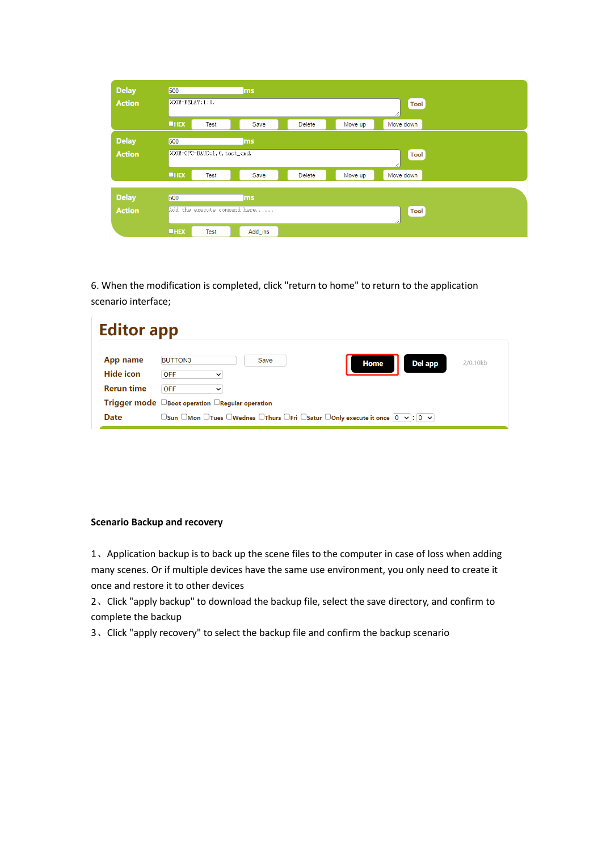| <b>Delay</b>  | 500             |                              | ms      |               |         |                   |
|---------------|-----------------|------------------------------|---------|---------------|---------|-------------------|
| <b>Action</b> | >COM-RELAY:1:0. |                              |         |               |         | <b>Tool</b>       |
|               | <b>UHEX</b>     | <b>Test</b>                  | Save    | <b>Delete</b> | Move up | Move down         |
| <b>Delay</b>  | 500             |                              | ms      |               |         |                   |
| <b>Action</b> |                 | >COM-CPC-BAUD:1,0, test_cmd. |         |               |         | <b>Tool</b><br>/, |
|               | <b>UHEX</b>     | <b>Test</b>                  | Save    | <b>Delete</b> | Move up | Move down         |
|               |                 |                              |         |               |         |                   |
| <b>Delay</b>  | 500             |                              | ms      |               |         |                   |
| <b>Action</b> |                 | Add the execute command here |         |               |         | <b>Tool</b><br>// |
|               | <b>UHEX</b>     | <b>Test</b>                  | Add_ins |               |         |                   |

6. When the modification is completed, click "return to home" to return to the application scenario interface;

| <b>Editor app</b>     |                                                                                                                                                  |
|-----------------------|--------------------------------------------------------------------------------------------------------------------------------------------------|
| App name<br>Hide icon | <b>BUTTON3</b><br>Save<br>2/0.10kb<br>Del app<br>Home<br><b>OFF</b><br>$\checkmark$                                                              |
| <b>Rerun time</b>     | <b>OFF</b><br>$\check{ }$                                                                                                                        |
|                       | <b>Trigger mode</b> $\Box$ Boot operation $\Box$ Regular operation                                                                               |
| <b>Date</b>           | $\Box$ Sun $\Box$ Mon $\Box$ Tues $\Box$ Wednes $\Box$ Thurs $\Box$ Fri $\Box$ Satur $\Box$ Only execute it once $[0 \ \ \lor]$ : $[0 \ \ \lor]$ |

### **Scenario Backup and recovery**

1、Application backup is to back up the scene files to the computer in case of loss when adding many scenes. Or if multiple devices have the same use environment, you only need to create it once and restore it to other devices

2、Click "apply backup" to download the backup file, select the save directory, and confirm to complete the backup

3、Click "apply recovery" to select the backup file and confirm the backup scenario